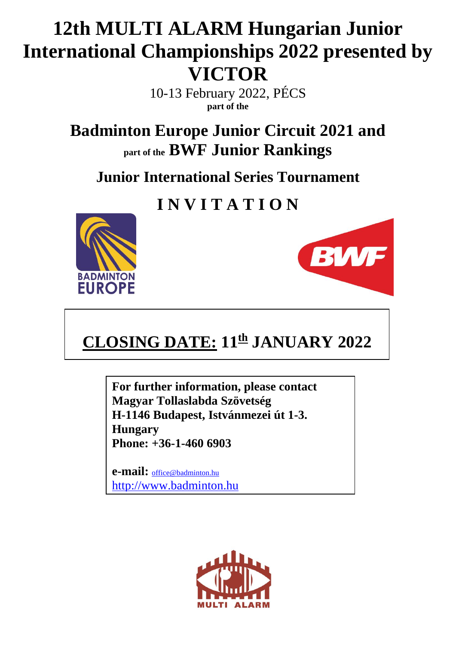## **12th MULTI ALARM Hungarian Junior International Championships 2022 presented by VICTOR**

10-13 February 2022, PÉCS **part of the**

**Badminton Europe Junior Circuit 2021 and part of the BWF Junior Rankings**

**Junior International Series Tournament**

## **I N V I T A T I O N**





## **CLOSING DATE: 11th JANUARY 2022**

**For further information, please contact Magyar Tollaslabda Szövetség H-1146 Budapest, Istvánmezei út 1-3. Hungary Phone: +36-1-460 6903**

**e-mail:** [office@badminton.hu](mailto:office@badminton.hu) [http://www.badminton.hu](http://www.badminton.hu/)

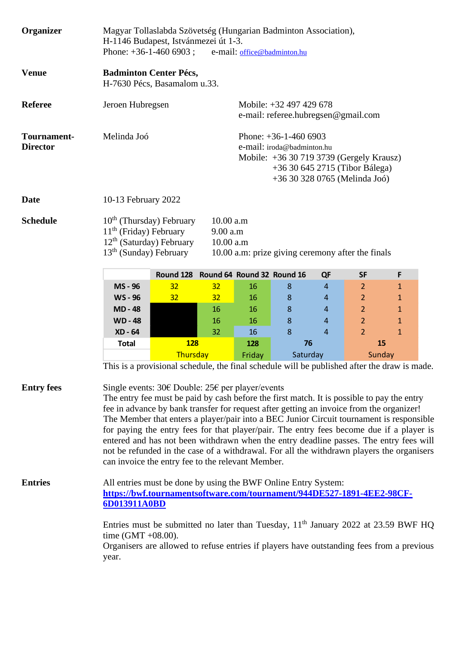| Organizer                      | Magyar Tollaslabda Szövetség (Hungarian Badminton Association),<br>H-1146 Budapest, Istvánmezei út 1-3.<br>Phone: $+36-1-460$ 6903;<br>e-mail: office@badminton.hu                                                                                                                                                                                                                                                                                                                                                                                                                                                                                                             |                                      |                                                                                                                                                                      |                    |   |                |                |              |  |
|--------------------------------|--------------------------------------------------------------------------------------------------------------------------------------------------------------------------------------------------------------------------------------------------------------------------------------------------------------------------------------------------------------------------------------------------------------------------------------------------------------------------------------------------------------------------------------------------------------------------------------------------------------------------------------------------------------------------------|--------------------------------------|----------------------------------------------------------------------------------------------------------------------------------------------------------------------|--------------------|---|----------------|----------------|--------------|--|
| <b>Venue</b>                   | <b>Badminton Center Pécs,</b><br>H-7630 Pécs, Basamalom u.33.                                                                                                                                                                                                                                                                                                                                                                                                                                                                                                                                                                                                                  |                                      |                                                                                                                                                                      |                    |   |                |                |              |  |
| <b>Referee</b>                 | Jeroen Hubregsen                                                                                                                                                                                                                                                                                                                                                                                                                                                                                                                                                                                                                                                               |                                      | Mobile: +32 497 429 678<br>e-mail: referee.hubregsen@gmail.com                                                                                                       |                    |   |                |                |              |  |
| Tournament-<br><b>Director</b> | Melinda Joó                                                                                                                                                                                                                                                                                                                                                                                                                                                                                                                                                                                                                                                                    |                                      | Phone: $+36-1-460$ 6903<br>e-mail: iroda@badminton.hu<br>Mobile: +36 30 719 3739 (Gergely Krausz)<br>+36 30 645 2715 (Tibor Bálega)<br>+36 30 328 0765 (Melinda Joó) |                    |   |                |                |              |  |
| <b>Date</b>                    | 10-13 February 2022                                                                                                                                                                                                                                                                                                                                                                                                                                                                                                                                                                                                                                                            |                                      |                                                                                                                                                                      |                    |   |                |                |              |  |
| <b>Schedule</b>                | $10th$ (Thursday) February<br>$11th$ (Friday) February<br>$12th$ (Saturday) February<br>$13th$ (Sunday) February                                                                                                                                                                                                                                                                                                                                                                                                                                                                                                                                                               |                                      | 10.00 a.m<br>9.00 a.m<br>10.00 a.m<br>10.00 a.m: prize giving ceremony after the finals                                                                              |                    |   |                |                |              |  |
|                                |                                                                                                                                                                                                                                                                                                                                                                                                                                                                                                                                                                                                                                                                                | Round 128 Round 64 Round 32 Round 16 |                                                                                                                                                                      |                    |   | QF             | <b>SF</b>      | F            |  |
|                                | MS - 96                                                                                                                                                                                                                                                                                                                                                                                                                                                                                                                                                                                                                                                                        | 32                                   | 32 <sub>2</sub>                                                                                                                                                      | 16                 | 8 | 4              | $\overline{2}$ | $\mathbf{1}$ |  |
|                                | <b>WS-96</b>                                                                                                                                                                                                                                                                                                                                                                                                                                                                                                                                                                                                                                                                   | 32                                   | 32 <sub>2</sub>                                                                                                                                                      | 16                 | 8 | 4              | $\overline{2}$ | $\mathbf{1}$ |  |
|                                | <b>MD-48</b>                                                                                                                                                                                                                                                                                                                                                                                                                                                                                                                                                                                                                                                                   |                                      | 16                                                                                                                                                                   | 16                 | 8 | $\overline{4}$ | $\overline{2}$ | $\mathbf{1}$ |  |
|                                | <b>WD-48</b>                                                                                                                                                                                                                                                                                                                                                                                                                                                                                                                                                                                                                                                                   |                                      | 16                                                                                                                                                                   | 16                 | 8 | $\overline{4}$ | $\overline{2}$ | $\mathbf{1}$ |  |
|                                | XD - 64                                                                                                                                                                                                                                                                                                                                                                                                                                                                                                                                                                                                                                                                        |                                      | 32                                                                                                                                                                   | 16                 | 8 | $\overline{4}$ | $\overline{2}$ | $\mathbf{1}$ |  |
|                                | <b>128</b><br><b>Total</b>                                                                                                                                                                                                                                                                                                                                                                                                                                                                                                                                                                                                                                                     |                                      |                                                                                                                                                                      | 76<br>128          |   | 15             |                |              |  |
|                                |                                                                                                                                                                                                                                                                                                                                                                                                                                                                                                                                                                                                                                                                                | Thursday                             |                                                                                                                                                                      | Saturday<br>Friday |   |                | Sunday         |              |  |
|                                | This is a provisional schedule, the final schedule will be published after the draw is made.                                                                                                                                                                                                                                                                                                                                                                                                                                                                                                                                                                                   |                                      |                                                                                                                                                                      |                    |   |                |                |              |  |
| <b>Entry fees</b>              | Single events: 30€ Double: 25€ per player/events<br>The entry fee must be paid by cash before the first match. It is possible to pay the entry<br>fee in advance by bank transfer for request after getting an invoice from the organizer!<br>The Member that enters a player/pair into a BEC Junior Circuit tournament is responsible<br>for paying the entry fees for that player/pair. The entry fees become due if a player is<br>entered and has not been withdrawn when the entry deadline passes. The entry fees will<br>not be refunded in the case of a withdrawal. For all the withdrawn players the organisers<br>can invoice the entry fee to the relevant Member. |                                      |                                                                                                                                                                      |                    |   |                |                |              |  |
| <b>Entries</b>                 | All entries must be done by using the BWF Online Entry System:<br>https://bwf.tournamentsoftware.com/tournament/944DE527-1891-4EE2-98CF-<br>6D013911A0BD                                                                                                                                                                                                                                                                                                                                                                                                                                                                                                                       |                                      |                                                                                                                                                                      |                    |   |                |                |              |  |
|                                | Entries must be submitted no later than Tuesday, $11th$ January 2022 at 23.59 BWF HQ<br>time $(GMT + 08.00)$ .<br>Organisers are allowed to refuse entries if players have outstanding fees from a previous<br>year.                                                                                                                                                                                                                                                                                                                                                                                                                                                           |                                      |                                                                                                                                                                      |                    |   |                |                |              |  |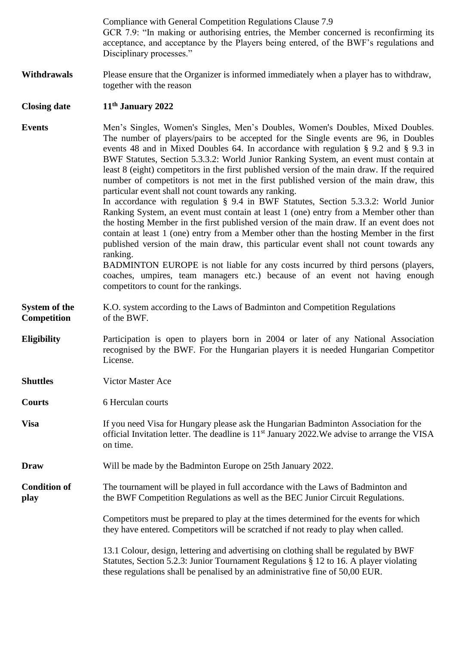|                                     | Compliance with General Competition Regulations Clause 7.9<br>GCR 7.9: "In making or authorising entries, the Member concerned is reconfirming its<br>acceptance, and acceptance by the Players being entered, of the BWF's regulations and<br>Disciplinary processes."                                                                                                                                                                                                                                                                                                                                                                                                                                                                                                                                                                                                                                                                                                                                                                                                                                                                                                                                                                               |  |  |  |  |
|-------------------------------------|-------------------------------------------------------------------------------------------------------------------------------------------------------------------------------------------------------------------------------------------------------------------------------------------------------------------------------------------------------------------------------------------------------------------------------------------------------------------------------------------------------------------------------------------------------------------------------------------------------------------------------------------------------------------------------------------------------------------------------------------------------------------------------------------------------------------------------------------------------------------------------------------------------------------------------------------------------------------------------------------------------------------------------------------------------------------------------------------------------------------------------------------------------------------------------------------------------------------------------------------------------|--|--|--|--|
| <b>Withdrawals</b>                  | Please ensure that the Organizer is informed immediately when a player has to withdraw,<br>together with the reason                                                                                                                                                                                                                                                                                                                                                                                                                                                                                                                                                                                                                                                                                                                                                                                                                                                                                                                                                                                                                                                                                                                                   |  |  |  |  |
| <b>Closing date</b>                 | 11 <sup>th</sup> January 2022                                                                                                                                                                                                                                                                                                                                                                                                                                                                                                                                                                                                                                                                                                                                                                                                                                                                                                                                                                                                                                                                                                                                                                                                                         |  |  |  |  |
| <b>Events</b>                       | Men's Singles, Women's Singles, Men's Doubles, Women's Doubles, Mixed Doubles.<br>The number of players/pairs to be accepted for the Single events are 96, in Doubles<br>events 48 and in Mixed Doubles 64. In accordance with regulation § 9.2 and § 9.3 in<br>BWF Statutes, Section 5.3.3.2: World Junior Ranking System, an event must contain at<br>least 8 (eight) competitors in the first published version of the main draw. If the required<br>number of competitors is not met in the first published version of the main draw, this<br>particular event shall not count towards any ranking.<br>In accordance with regulation § 9.4 in BWF Statutes, Section 5.3.3.2: World Junior<br>Ranking System, an event must contain at least 1 (one) entry from a Member other than<br>the hosting Member in the first published version of the main draw. If an event does not<br>contain at least 1 (one) entry from a Member other than the hosting Member in the first<br>published version of the main draw, this particular event shall not count towards any<br>ranking.<br>BADMINTON EUROPE is not liable for any costs incurred by third persons (players,<br>coaches, umpires, team managers etc.) because of an event not having enough |  |  |  |  |
|                                     | competitors to count for the rankings.                                                                                                                                                                                                                                                                                                                                                                                                                                                                                                                                                                                                                                                                                                                                                                                                                                                                                                                                                                                                                                                                                                                                                                                                                |  |  |  |  |
| System of the<br><b>Competition</b> | K.O. system according to the Laws of Badminton and Competition Regulations<br>of the BWF.                                                                                                                                                                                                                                                                                                                                                                                                                                                                                                                                                                                                                                                                                                                                                                                                                                                                                                                                                                                                                                                                                                                                                             |  |  |  |  |
| <b>Eligibility</b>                  | Participation is open to players born in 2004 or later of any National Association<br>recognised by the BWF. For the Hungarian players it is needed Hungarian Competitor<br>License.                                                                                                                                                                                                                                                                                                                                                                                                                                                                                                                                                                                                                                                                                                                                                                                                                                                                                                                                                                                                                                                                  |  |  |  |  |
| <b>Shuttles</b>                     | Victor Master Ace                                                                                                                                                                                                                                                                                                                                                                                                                                                                                                                                                                                                                                                                                                                                                                                                                                                                                                                                                                                                                                                                                                                                                                                                                                     |  |  |  |  |
| <b>Courts</b>                       | 6 Herculan courts                                                                                                                                                                                                                                                                                                                                                                                                                                                                                                                                                                                                                                                                                                                                                                                                                                                                                                                                                                                                                                                                                                                                                                                                                                     |  |  |  |  |
| <b>Visa</b>                         | If you need Visa for Hungary please ask the Hungarian Badminton Association for the<br>official Invitation letter. The deadline is 11 <sup>st</sup> January 2022. We advise to arrange the VISA<br>on time.                                                                                                                                                                                                                                                                                                                                                                                                                                                                                                                                                                                                                                                                                                                                                                                                                                                                                                                                                                                                                                           |  |  |  |  |
| <b>Draw</b>                         | Will be made by the Badminton Europe on 25th January 2022.                                                                                                                                                                                                                                                                                                                                                                                                                                                                                                                                                                                                                                                                                                                                                                                                                                                                                                                                                                                                                                                                                                                                                                                            |  |  |  |  |
| <b>Condition of</b><br>play         | The tournament will be played in full accordance with the Laws of Badminton and<br>the BWF Competition Regulations as well as the BEC Junior Circuit Regulations.                                                                                                                                                                                                                                                                                                                                                                                                                                                                                                                                                                                                                                                                                                                                                                                                                                                                                                                                                                                                                                                                                     |  |  |  |  |
|                                     | Competitors must be prepared to play at the times determined for the events for which<br>they have entered. Competitors will be scratched if not ready to play when called.                                                                                                                                                                                                                                                                                                                                                                                                                                                                                                                                                                                                                                                                                                                                                                                                                                                                                                                                                                                                                                                                           |  |  |  |  |
|                                     | 13.1 Colour, design, lettering and advertising on clothing shall be regulated by BWF<br>Statutes, Section 5.2.3: Junior Tournament Regulations § 12 to 16. A player violating<br>these regulations shall be penalised by an administrative fine of 50,00 EUR.                                                                                                                                                                                                                                                                                                                                                                                                                                                                                                                                                                                                                                                                                                                                                                                                                                                                                                                                                                                         |  |  |  |  |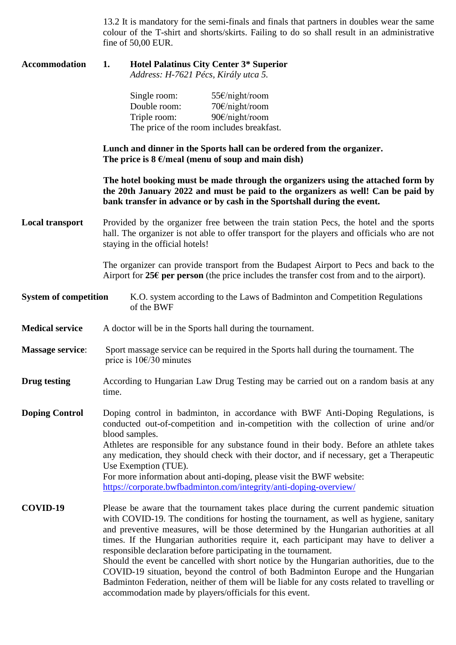13.2 It is mandatory for the semi-finals and finals that partners in doubles wear the same colour of the T-shirt and shorts/skirts. Failing to do so shall result in an administrative fine of 50,00 EUR.

| <b>Accommodation</b>         | <b>Hotel Palatinus City Center 3* Superior</b><br>1.<br>Address: H-7621 Pécs, Király utca 5.                                                                                                                                                                                                                                                                                                                                                                                                                                                                                                                                                                                                                                                                                     |  |  |  |  |
|------------------------------|----------------------------------------------------------------------------------------------------------------------------------------------------------------------------------------------------------------------------------------------------------------------------------------------------------------------------------------------------------------------------------------------------------------------------------------------------------------------------------------------------------------------------------------------------------------------------------------------------------------------------------------------------------------------------------------------------------------------------------------------------------------------------------|--|--|--|--|
|                              | 55€/night/room<br>Single room:<br>Double room:<br>70€/night/room<br>90€/night/room<br>Triple room:<br>The price of the room includes breakfast.                                                                                                                                                                                                                                                                                                                                                                                                                                                                                                                                                                                                                                  |  |  |  |  |
|                              | Lunch and dinner in the Sports hall can be ordered from the organizer.<br>The price is $8 \in \mathcal{E}$ meal (menu of soup and main dish)                                                                                                                                                                                                                                                                                                                                                                                                                                                                                                                                                                                                                                     |  |  |  |  |
|                              | The hotel booking must be made through the organizers using the attached form by<br>the 20th January 2022 and must be paid to the organizers as well! Can be paid by<br>bank transfer in advance or by cash in the Sportshall during the event.                                                                                                                                                                                                                                                                                                                                                                                                                                                                                                                                  |  |  |  |  |
| <b>Local transport</b>       | Provided by the organizer free between the train station Pecs, the hotel and the sports<br>hall. The organizer is not able to offer transport for the players and officials who are not<br>staying in the official hotels!                                                                                                                                                                                                                                                                                                                                                                                                                                                                                                                                                       |  |  |  |  |
|                              | The organizer can provide transport from the Budapest Airport to Pecs and back to the<br>Airport for $25\epsilon$ per person (the price includes the transfer cost from and to the airport).                                                                                                                                                                                                                                                                                                                                                                                                                                                                                                                                                                                     |  |  |  |  |
| <b>System of competition</b> | K.O. system according to the Laws of Badminton and Competition Regulations<br>of the BWF                                                                                                                                                                                                                                                                                                                                                                                                                                                                                                                                                                                                                                                                                         |  |  |  |  |
| <b>Medical service</b>       | A doctor will be in the Sports hall during the tournament.                                                                                                                                                                                                                                                                                                                                                                                                                                                                                                                                                                                                                                                                                                                       |  |  |  |  |
| <b>Massage service:</b>      | Sport massage service can be required in the Sports hall during the tournament. The<br>price is $10\epsilon/30$ minutes                                                                                                                                                                                                                                                                                                                                                                                                                                                                                                                                                                                                                                                          |  |  |  |  |
| Drug testing                 | According to Hungarian Law Drug Testing may be carried out on a random basis at any<br>time.                                                                                                                                                                                                                                                                                                                                                                                                                                                                                                                                                                                                                                                                                     |  |  |  |  |
| <b>Doping Control</b>        | Doping control in badminton, in accordance with BWF Anti-Doping Regulations, is<br>conducted out-of-competition and in-competition with the collection of urine and/or<br>blood samples.<br>Athletes are responsible for any substance found in their body. Before an athlete takes<br>any medication, they should check with their doctor, and if necessary, get a Therapeutic<br>Use Exemption (TUE).<br>For more information about anti-doping, please visit the BWF website:<br>https://corporate.bwfbadminton.com/integrity/anti-doping-overview/                                                                                                                                                                                                                           |  |  |  |  |
| COVID-19                     | Please be aware that the tournament takes place during the current pandemic situation<br>with COVID-19. The conditions for hosting the tournament, as well as hygiene, sanitary<br>and preventive measures, will be those determined by the Hungarian authorities at all<br>times. If the Hungarian authorities require it, each participant may have to deliver a<br>responsible declaration before participating in the tournament.<br>Should the event be cancelled with short notice by the Hungarian authorities, due to the<br>COVID-19 situation, beyond the control of both Badminton Europe and the Hungarian<br>Badminton Federation, neither of them will be liable for any costs related to travelling or<br>accommodation made by players/officials for this event. |  |  |  |  |